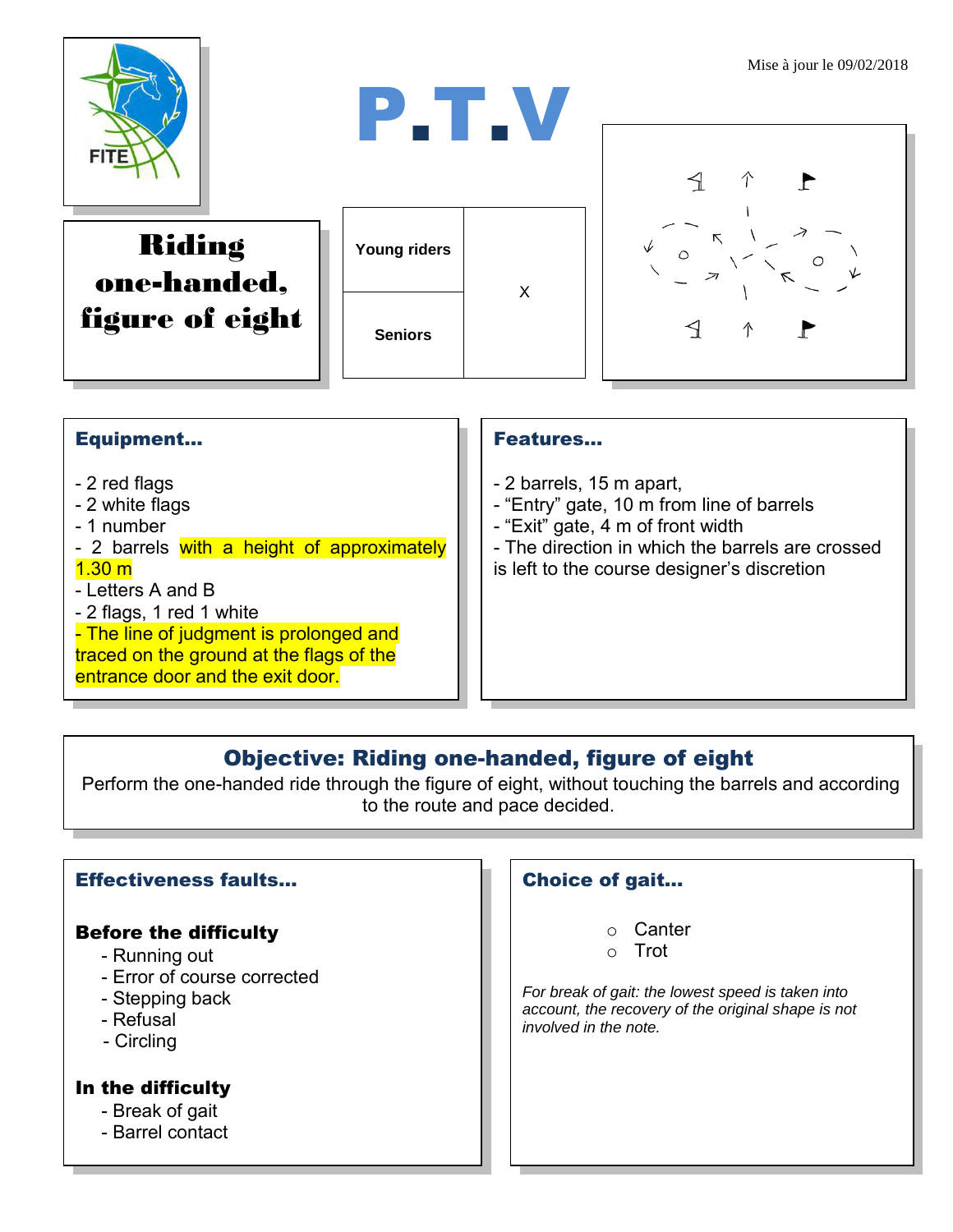



Riding one-handed, figure of eight

| Young riders   | x |
|----------------|---|
| <b>Seniors</b> |   |



## Equipment...

- 2 red flags
- 2 white flags
- 1 number
- 2 barrels with a height of approximately
- $1.30 m$
- Letters A and B
- 2 flags, 1 red 1 white
- The line of judgment is prolonged and traced on the ground at the flags of the entrance door and the exit door.

#### Features…

- 2 barrels, 15 m apart,
- "Entry" gate, 10 m from line of barrels
- "Exit" gate, 4 m of front width
- The direction in which the barrels are crossed is left to the course designer's discretion

## Objective: Riding one-handed, figure of eight

Perform the one-handed ride through the figure of eight, without touching the barrels and according to the route and pace decided.

#### Effectiveness faults…

#### Before the difficulty

- Running out
- Error of course corrected
- Stepping back
- Refusal
- Circling

#### In the difficulty

- Break of gait
- Barrel contact

### Choice of gait…

- o Canter
- o Trot

*For break of gait: the lowest speed is taken into account, the recovery of the original shape is not involved in the note.*